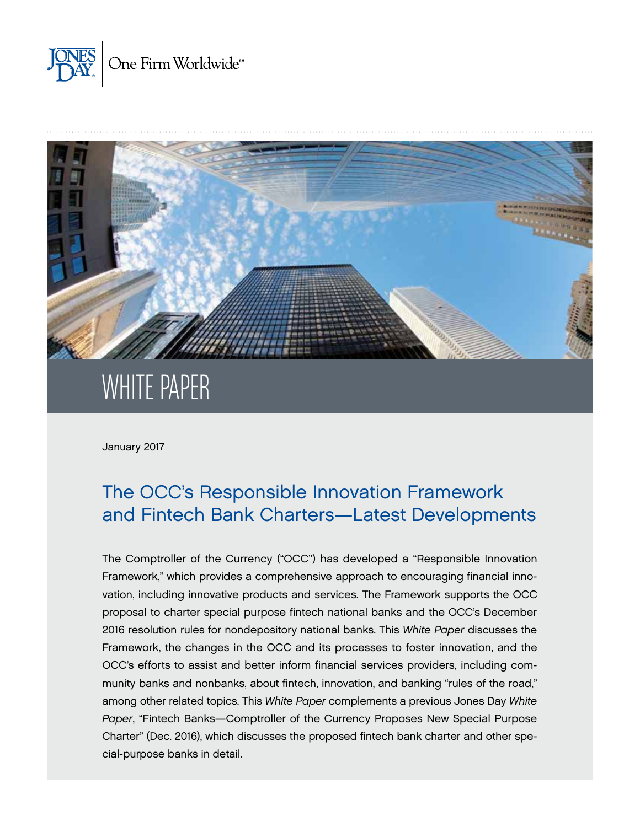



# WHITE PAPER

January 2017

## The OCC's Responsible Innovation Framework and Fintech Bank Charters—Latest Developments

The Comptroller of the Currency ("OCC") has developed a "Responsible Innovation Framework," which provides a comprehensive approach to encouraging financial innovation, including innovative products and services. The Framework supports the OCC proposal to charter special purpose fintech national banks and the OCC's December 2016 resolution rules for nondepository national banks. This *White Paper* discusses the Framework, the changes in the OCC and its processes to foster innovation, and the OCC's efforts to assist and better inform financial services providers, including community banks and nonbanks, about fintech, innovation, and banking "rules of the road," among other related topics. This *White Paper* complements a previous Jones Day *White Paper*, "Fintech Banks—Comptroller of the Currency Proposes New Special Purpose Charter" (Dec. 2016), which discusses the proposed fintech bank charter and other special-purpose banks in detail.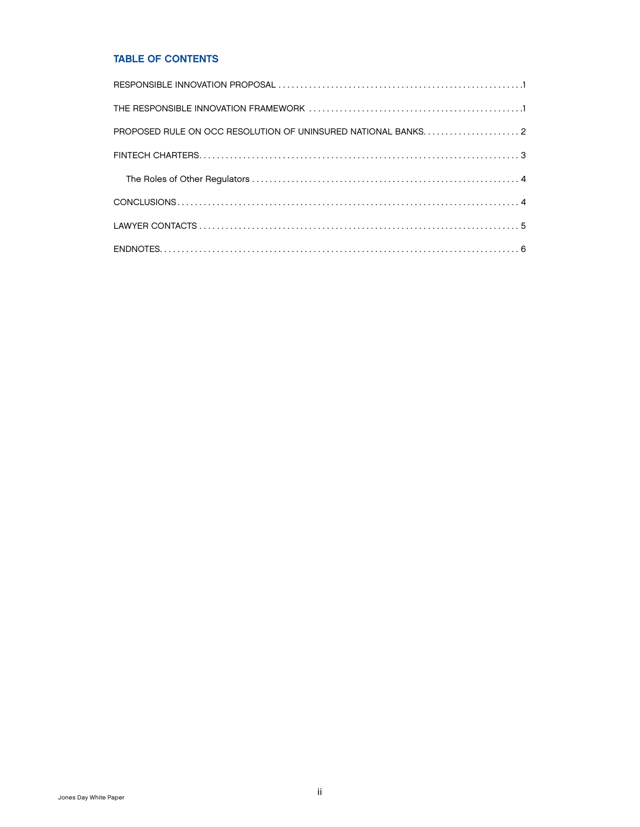#### TABLE OF CONTENTS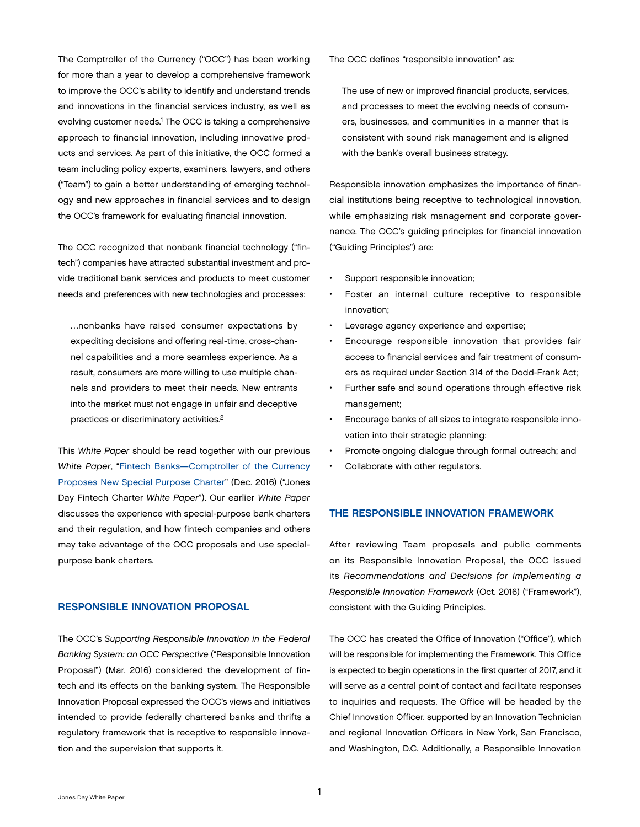<span id="page-2-0"></span>The Comptroller of the Currency ("OCC") has been working for more than a year to develop a comprehensive framework to improve the OCC's ability to identify and understand trends and innovations in the financial services industry, as well as evolving customer needs.<sup>1</sup> The OCC is taking a comprehensive approach to financial innovation, including innovative products and services. As part of this initiative, the OCC formed a team including policy experts, examiners, lawyers, and others ("Team") to gain a better understanding of emerging technology and new approaches in financial services and to design the OCC's framework for evaluating financial innovation.

The OCC recognized that nonbank financial technology ("fintech") companies have attracted substantial investment and provide traditional bank services and products to meet customer needs and preferences with new technologies and processes:

…nonbanks have raised consumer expectations by expediting decisions and offering real-time, cross-channel capabilities and a more seamless experience. As a result, consumers are more willing to use multiple channels and providers to meet their needs. New entrants into the market must not engage in unfair and deceptive practices or discriminatory activities.2

This *White Paper* should be read together with our previous *White Paper*, ["Fintech Banks—Comptroller of the Currency](http://www.jonesday.com/fintech-bankscomptroller-of-the-currency-proposes-new-special-purpose-charter-12-13-2016/)  [Proposes New Special Purpose Charter](http://www.jonesday.com/fintech-bankscomptroller-of-the-currency-proposes-new-special-purpose-charter-12-13-2016/)" (Dec. 2016) ("Jones Day Fintech Charter *White Paper*"). Our earlier *White Paper* discusses the experience with special-purpose bank charters and their regulation, and how fintech companies and others may take advantage of the OCC proposals and use specialpurpose bank charters.

#### RESPONSIBLE INNOVATION PROPOSAL

The OCC's *Supporting Responsible Innovation in the Federal Banking System: an OCC Perspective* ("Responsible Innovation Proposal") (Mar. 2016) considered the development of fintech and its effects on the banking system. The Responsible Innovation Proposal expressed the OCC's views and initiatives intended to provide federally chartered banks and thrifts a regulatory framework that is receptive to responsible innovation and the supervision that supports it.

The OCC defines "responsible innovation" as:

The use of new or improved financial products, services, and processes to meet the evolving needs of consumers, businesses, and communities in a manner that is consistent with sound risk management and is aligned with the bank's overall business strategy.

Responsible innovation emphasizes the importance of financial institutions being receptive to technological innovation, while emphasizing risk management and corporate governance. The OCC's guiding principles for financial innovation ("Guiding Principles") are:

- Support responsible innovation;
- Foster an internal culture receptive to responsible innovation;
- Leverage agency experience and expertise;
- Encourage responsible innovation that provides fair access to financial services and fair treatment of consumers as required under Section 314 of the Dodd-Frank Act;
- Further safe and sound operations through effective risk management;
- Encourage banks of all sizes to integrate responsible innovation into their strategic planning;
- Promote ongoing dialogue through formal outreach; and
- Collaborate with other regulators.

#### THE RESPONSIBLE INNOVATION FRAMEWORK

After reviewing Team proposals and public comments on its Responsible Innovation Proposal, the OCC issued its *Recommendations and Decisions for Implementing a Responsible Innovation Framework* (Oct. 2016) ("Framework"), consistent with the Guiding Principles.

The OCC has created the Office of Innovation ("Office"), which will be responsible for implementing the Framework. This Office is expected to begin operations in the first quarter of 2017, and it will serve as a central point of contact and facilitate responses to inquiries and requests. The Office will be headed by the Chief Innovation Officer, supported by an Innovation Technician and regional Innovation Officers in New York, San Francisco, and Washington, D.C. Additionally, a Responsible Innovation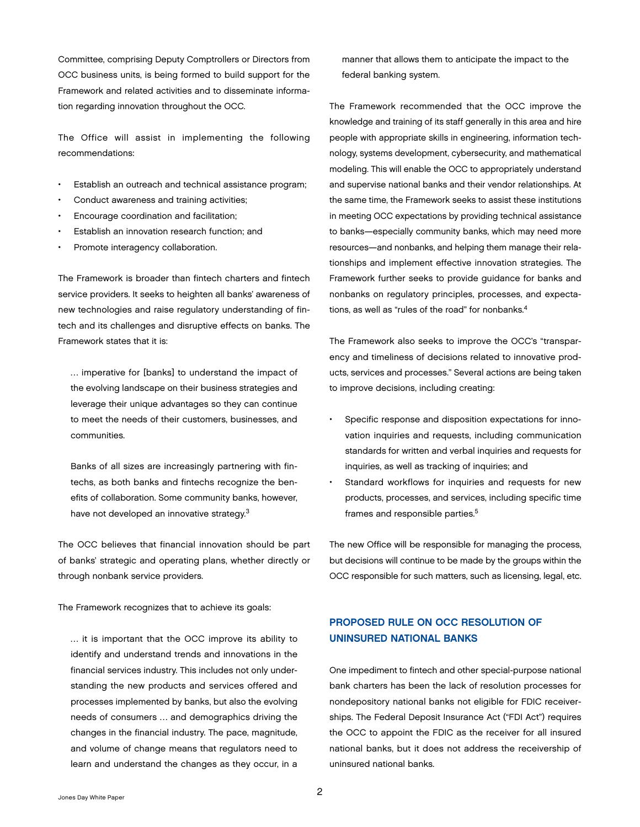<span id="page-3-0"></span>Committee, comprising Deputy Comptrollers or Directors from OCC business units, is being formed to build support for the Framework and related activities and to disseminate information regarding innovation throughout the OCC.

The Office will assist in implementing the following recommendations:

- Establish an outreach and technical assistance program;
- Conduct awareness and training activities;
- Encourage coordination and facilitation;
- Establish an innovation research function; and
- Promote interagency collaboration.

The Framework is broader than fintech charters and fintech service providers. It seeks to heighten all banks' awareness of new technologies and raise regulatory understanding of fintech and its challenges and disruptive effects on banks. The Framework states that it is:

… imperative for [banks] to understand the impact of the evolving landscape on their business strategies and leverage their unique advantages so they can continue to meet the needs of their customers, businesses, and communities.

Banks of all sizes are increasingly partnering with fintechs, as both banks and fintechs recognize the benefits of collaboration. Some community banks, however, have not developed an innovative strategy.<sup>3</sup>

The OCC believes that financial innovation should be part of banks' strategic and operating plans, whether directly or through nonbank service providers.

The Framework recognizes that to achieve its goals:

… it is important that the OCC improve its ability to identify and understand trends and innovations in the financial services industry. This includes not only understanding the new products and services offered and processes implemented by banks, but also the evolving needs of consumers … and demographics driving the changes in the financial industry. The pace, magnitude, and volume of change means that regulators need to learn and understand the changes as they occur, in a manner that allows them to anticipate the impact to the federal banking system.

The Framework recommended that the OCC improve the knowledge and training of its staff generally in this area and hire people with appropriate skills in engineering, information technology, systems development, cybersecurity, and mathematical modeling. This will enable the OCC to appropriately understand and supervise national banks and their vendor relationships. At the same time, the Framework seeks to assist these institutions in meeting OCC expectations by providing technical assistance to banks—especially community banks, which may need more resources—and nonbanks, and helping them manage their relationships and implement effective innovation strategies. The Framework further seeks to provide guidance for banks and nonbanks on regulatory principles, processes, and expectations, as well as "rules of the road" for nonbanks.4

The Framework also seeks to improve the OCC's "transparency and timeliness of decisions related to innovative products, services and processes." Several actions are being taken to improve decisions, including creating:

- Specific response and disposition expectations for innovation inquiries and requests, including communication standards for written and verbal inquiries and requests for inquiries, as well as tracking of inquiries; and
- Standard workflows for inquiries and requests for new products, processes, and services, including specific time frames and responsible parties.5

The new Office will be responsible for managing the process, but decisions will continue to be made by the groups within the OCC responsible for such matters, such as licensing, legal, etc.

### PROPOSED RULE ON OCC RESOLUTION OF UNINSURED NATIONAL BANKS

One impediment to fintech and other special-purpose national bank charters has been the lack of resolution processes for nondepository national banks not eligible for FDIC receiverships. The Federal Deposit Insurance Act ("FDI Act") requires the OCC to appoint the FDIC as the receiver for all insured national banks, but it does not address the receivership of uninsured national banks.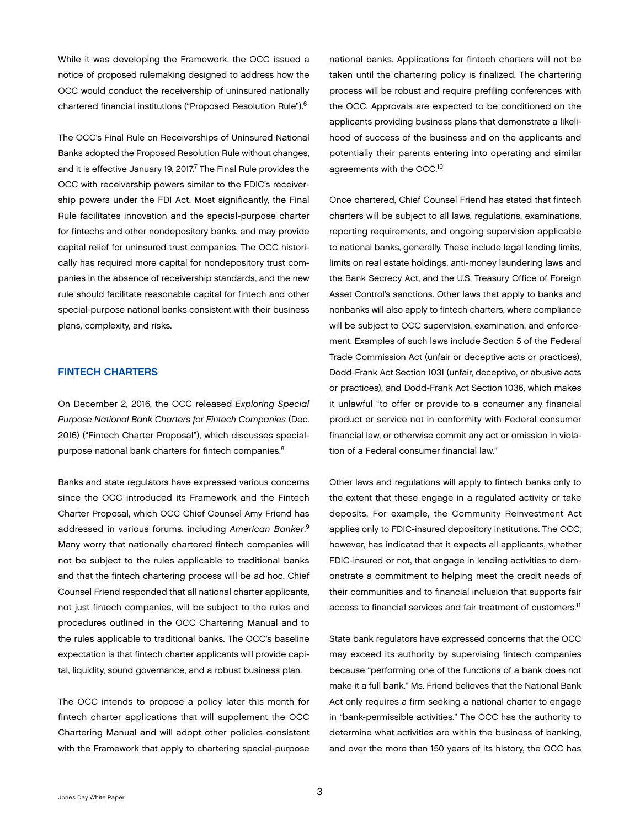<span id="page-4-0"></span>While it was developing the Framework, the OCC issued a notice of proposed rulemaking designed to address how the OCC would conduct the receivership of uninsured nationally chartered financial institutions ("Proposed Resolution Rule").6

The OCC's Final Rule on Receiverships of Uninsured National Banks adopted the Proposed Resolution Rule without changes, and it is effective January 19, 2017.<sup>7</sup> The Final Rule provides the OCC with receivership powers similar to the FDIC's receivership powers under the FDI Act. Most significantly, the Final Rule facilitates innovation and the special-purpose charter for fintechs and other nondepository banks, and may provide capital relief for uninsured trust companies. The OCC historically has required more capital for nondepository trust companies in the absence of receivership standards, and the new rule should facilitate reasonable capital for fintech and other special-purpose national banks consistent with their business plans, complexity, and risks.

#### FINTECH CHARTERS

On December 2, 2016, the OCC released *Exploring Special Purpose National Bank Charters for Fintech Companies* (Dec. 2016) ("Fintech Charter Proposal"), which discusses specialpurpose national bank charters for fintech companies.8

Banks and state regulators have expressed various concerns since the OCC introduced its Framework and the Fintech Charter Proposal, which OCC Chief Counsel Amy Friend has addressed in various forums, including *American Banker*. 9 Many worry that nationally chartered fintech companies will not be subject to the rules applicable to traditional banks and that the fintech chartering process will be ad hoc. Chief Counsel Friend responded that all national charter applicants, not just fintech companies, will be subject to the rules and procedures outlined in the OCC Chartering Manual and to the rules applicable to traditional banks. The OCC's baseline expectation is that fintech charter applicants will provide capital, liquidity, sound governance, and a robust business plan.

The OCC intends to propose a policy later this month for fintech charter applications that will supplement the OCC Chartering Manual and will adopt other policies consistent with the Framework that apply to chartering special-purpose national banks. Applications for fintech charters will not be taken until the chartering policy is finalized. The chartering process will be robust and require prefiling conferences with the OCC. Approvals are expected to be conditioned on the applicants providing business plans that demonstrate a likelihood of success of the business and on the applicants and potentially their parents entering into operating and similar agreements with the OCC.10

Once chartered, Chief Counsel Friend has stated that fintech charters will be subject to all laws, regulations, examinations, reporting requirements, and ongoing supervision applicable to national banks, generally. These include legal lending limits, limits on real estate holdings, anti-money laundering laws and the Bank Secrecy Act, and the U.S. Treasury Office of Foreign Asset Control's sanctions. Other laws that apply to banks and nonbanks will also apply to fintech charters, where compliance will be subject to OCC supervision, examination, and enforcement. Examples of such laws include Section 5 of the Federal Trade Commission Act (unfair or deceptive acts or practices), Dodd-Frank Act Section 1031 (unfair, deceptive, or abusive acts or practices), and Dodd-Frank Act Section 1036, which makes it unlawful "to offer or provide to a consumer any financial product or service not in conformity with Federal consumer financial law, or otherwise commit any act or omission in violation of a Federal consumer financial law."

Other laws and regulations will apply to fintech banks only to the extent that these engage in a regulated activity or take deposits. For example, the Community Reinvestment Act applies only to FDIC-insured depository institutions. The OCC, however, has indicated that it expects all applicants, whether FDIC-insured or not, that engage in lending activities to demonstrate a commitment to helping meet the credit needs of their communities and to financial inclusion that supports fair access to financial services and fair treatment of customers.11

State bank regulators have expressed concerns that the OCC may exceed its authority by supervising fintech companies because "performing one of the functions of a bank does not make it a full bank." Ms. Friend believes that the National Bank Act only requires a firm seeking a national charter to engage in "bank-permissible activities." The OCC has the authority to determine what activities are within the business of banking, and over the more than 150 years of its history, the OCC has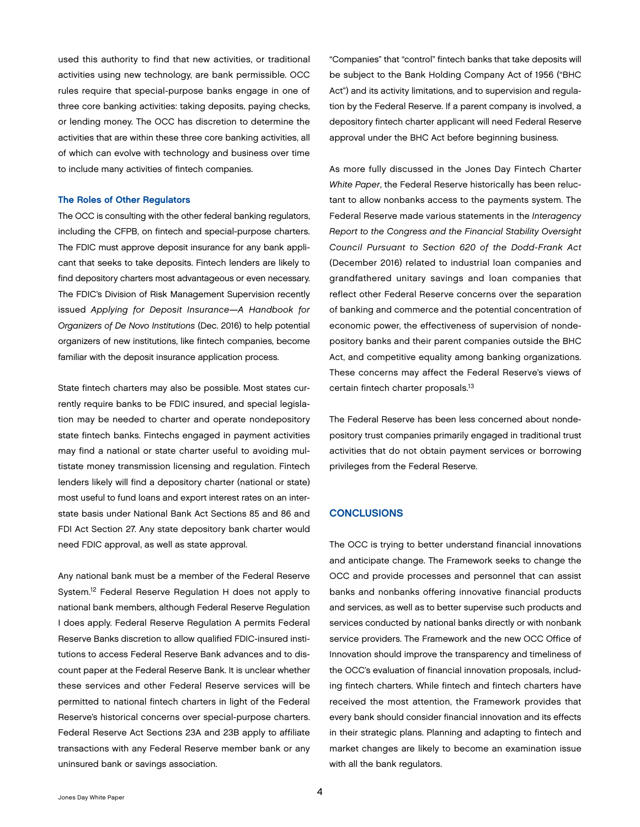<span id="page-5-0"></span>used this authority to find that new activities, or traditional activities using new technology, are bank permissible. OCC rules require that special-purpose banks engage in one of three core banking activities: taking deposits, paying checks, or lending money. The OCC has discretion to determine the activities that are within these three core banking activities, all of which can evolve with technology and business over time to include many activities of fintech companies.

#### The Roles of Other Regulators

The OCC is consulting with the other federal banking regulators, including the CFPB, on fintech and special-purpose charters. The FDIC must approve deposit insurance for any bank applicant that seeks to take deposits. Fintech lenders are likely to find depository charters most advantageous or even necessary. The FDIC's Division of Risk Management Supervision recently issued *Applying for Deposit Insurance—A Handbook for Organizers of De Novo Institutions* (Dec. 2016) to help potential organizers of new institutions, like fintech companies, become familiar with the deposit insurance application process.

State fintech charters may also be possible. Most states currently require banks to be FDIC insured, and special legislation may be needed to charter and operate nondepository state fintech banks. Fintechs engaged in payment activities may find a national or state charter useful to avoiding multistate money transmission licensing and regulation. Fintech lenders likely will find a depository charter (national or state) most useful to fund loans and export interest rates on an interstate basis under National Bank Act Sections 85 and 86 and FDI Act Section 27. Any state depository bank charter would need FDIC approval, as well as state approval.

Any national bank must be a member of the Federal Reserve System.12 Federal Reserve Regulation H does not apply to national bank members, although Federal Reserve Regulation I does apply. Federal Reserve Regulation A permits Federal Reserve Banks discretion to allow qualified FDIC-insured institutions to access Federal Reserve Bank advances and to discount paper at the Federal Reserve Bank. It is unclear whether these services and other Federal Reserve services will be permitted to national fintech charters in light of the Federal Reserve's historical concerns over special-purpose charters. Federal Reserve Act Sections 23A and 23B apply to affiliate transactions with any Federal Reserve member bank or any uninsured bank or savings association.

"Companies" that "control" fintech banks that take deposits will be subject to the Bank Holding Company Act of 1956 ("BHC Act") and its activity limitations, and to supervision and regulation by the Federal Reserve. If a parent company is involved, a depository fintech charter applicant will need Federal Reserve approval under the BHC Act before beginning business.

As more fully discussed in the Jones Day Fintech Charter *White Paper*, the Federal Reserve historically has been reluctant to allow nonbanks access to the payments system. The Federal Reserve made various statements in the *Interagency Report to the Congress and the Financial Stability Oversight Council Pursuant to Section 620 of the Dodd-Frank Act*  (December 2016) related to industrial loan companies and grandfathered unitary savings and loan companies that reflect other Federal Reserve concerns over the separation of banking and commerce and the potential concentration of economic power, the effectiveness of supervision of nondepository banks and their parent companies outside the BHC Act, and competitive equality among banking organizations. These concerns may affect the Federal Reserve's views of certain fintech charter proposals.<sup>13</sup>

The Federal Reserve has been less concerned about nondepository trust companies primarily engaged in traditional trust activities that do not obtain payment services or borrowing privileges from the Federal Reserve.

#### **CONCLUSIONS**

The OCC is trying to better understand financial innovations and anticipate change. The Framework seeks to change the OCC and provide processes and personnel that can assist banks and nonbanks offering innovative financial products and services, as well as to better supervise such products and services conducted by national banks directly or with nonbank service providers. The Framework and the new OCC Office of Innovation should improve the transparency and timeliness of the OCC's evaluation of financial innovation proposals, including fintech charters. While fintech and fintech charters have received the most attention, the Framework provides that every bank should consider financial innovation and its effects in their strategic plans. Planning and adapting to fintech and market changes are likely to become an examination issue with all the bank regulators.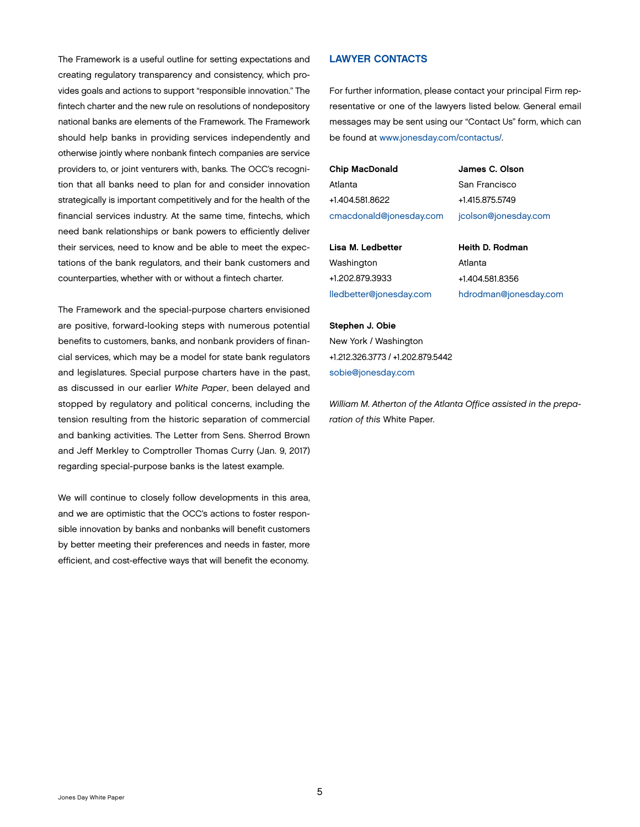<span id="page-6-0"></span>The Framework is a useful outline for setting expectations and creating regulatory transparency and consistency, which provides goals and actions to support "responsible innovation." The fintech charter and the new rule on resolutions of nondepository national banks are elements of the Framework. The Framework should help banks in providing services independently and otherwise jointly where nonbank fintech companies are service providers to, or joint venturers with, banks. The OCC's recognition that all banks need to plan for and consider innovation strategically is important competitively and for the health of the financial services industry. At the same time, fintechs, which need bank relationships or bank powers to efficiently deliver their services, need to know and be able to meet the expectations of the bank regulators, and their bank customers and counterparties, whether with or without a fintech charter.

The Framework and the special-purpose charters envisioned are positive, forward-looking steps with numerous potential benefits to customers, banks, and nonbank providers of financial services, which may be a model for state bank regulators and legislatures. Special purpose charters have in the past, as discussed in our earlier *White Paper*, been delayed and stopped by regulatory and political concerns, including the tension resulting from the historic separation of commercial and banking activities. The Letter from Sens. Sherrod Brown and Jeff Merkley to Comptroller Thomas Curry (Jan. 9, 2017) regarding special-purpose banks is the latest example.

We will continue to closely follow developments in this area, and we are optimistic that the OCC's actions to foster responsible innovation by banks and nonbanks will benefit customers by better meeting their preferences and needs in faster, more efficient, and cost-effective ways that will benefit the economy.

#### LAWYER CONTACTS

For further information, please contact your principal Firm representative or one of the lawyers listed below. General email messages may be sent using our "Contact Us" form, which can be found at [www.jonesday.com/contactus/.](http://www.jonesday.com/contactus/)

Chip MacDonald Atlanta +1.404.581.8622 [cmacdonald@jonesday.com](mailto:cmacdonald@jonesday.com) James C. Olson San Francisco +1.415.875.5749 [jcolson@jonesday.com](mailto:jcolson@jonesday.com)

Lisa M. Ledbetter Washington +1.202.879.3933 [lledbetter@jonesday.com](mailto:lledbetter@jonesday.com) Heith D. Rodman Atlanta +1.404.581.8356 [hdrodman@jonesday.com](mailto:hdrodman@jonesday.com)

#### Stephen J. Obie

New York / Washington +1.212.326.3773 / +1.202.879.5442 [sobie@jonesday.com](mailto:sobie@jonesday.com)

*William M. Atherton of the Atlanta Office assisted in the preparation of this* White Paper.